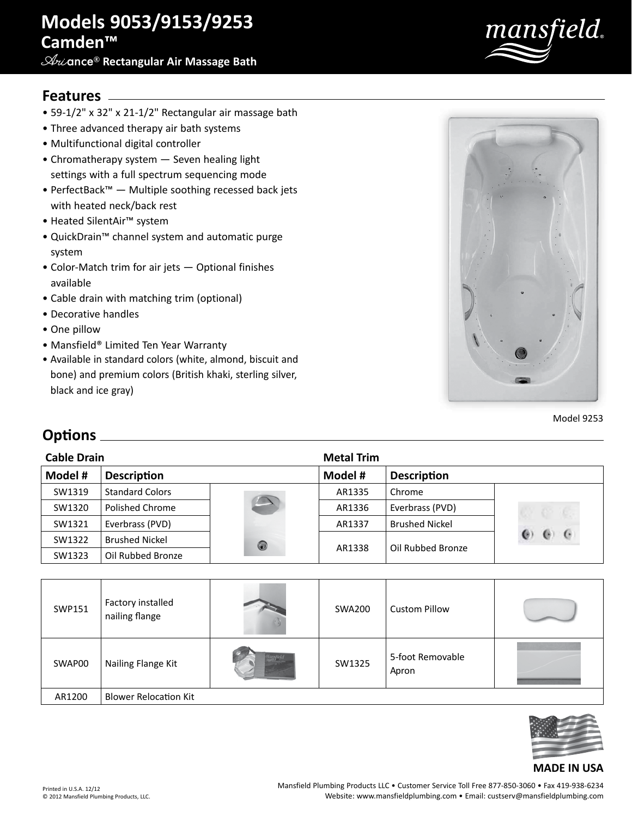# **Models 9053/9153/9253 Camden™**

**Ari**ance® **Rectangular Air Massage Bath**



### **Features**

- 59-1/2" x 32" x 21-1/2" Rectangular air massage bath
- Three advanced therapy air bath systems
- Multifunctional digital controller
- Chromatherapy system Seven healing light settings with a full spectrum sequencing mode
- PerfectBack™ Multiple soothing recessed back jets with heated neck/back rest
- Heated SilentAir™ system
- QuickDrain™ channel system and automatic purge system
- Color-Match trim for air jets Optional finishes available
- Cable drain with matching trim (optional)
- Decorative handles
- One pillow
- Mansfield® Limited Ten Year Warranty
- Available in standard colors (white, almond, biscuit and bone) and premium colors (British khaki, sterling silver, black and ice gray)



Model 9253

## **Options**

| <b>Cable Drain</b> |                        |            | <b>Metal Trim</b> |                       |                     |
|--------------------|------------------------|------------|-------------------|-----------------------|---------------------|
| Model #            | <b>Description</b>     |            | Model #           | <b>Description</b>    |                     |
| SW1319             | <b>Standard Colors</b> |            | AR1335            | Chrome                |                     |
| SW1320             | Polished Chrome        |            | AR1336            | Everbrass (PVD)       |                     |
| SW1321             | Everbrass (PVD)        |            | AR1337            | <b>Brushed Nickel</b> |                     |
| SW1322             | <b>Brushed Nickel</b>  | $\bigcirc$ | AR1338            | Oil Rubbed Bronze     | $\ddot{\mathbf{c}}$ |
| SW1323             | Oil Rubbed Bronze      |            |                   |                       |                     |

| SWP151 | Factory installed<br>nailing flange | <b>SWA200</b> | <b>Custom Pillow</b>      |  |
|--------|-------------------------------------|---------------|---------------------------|--|
| SWAP00 | Nailing Flange Kit                  | SW1325        | 5-foot Removable<br>Apron |  |
| AR1200 | <b>Blower Relocation Kit</b>        |               |                           |  |



#### **MADE IN USA**